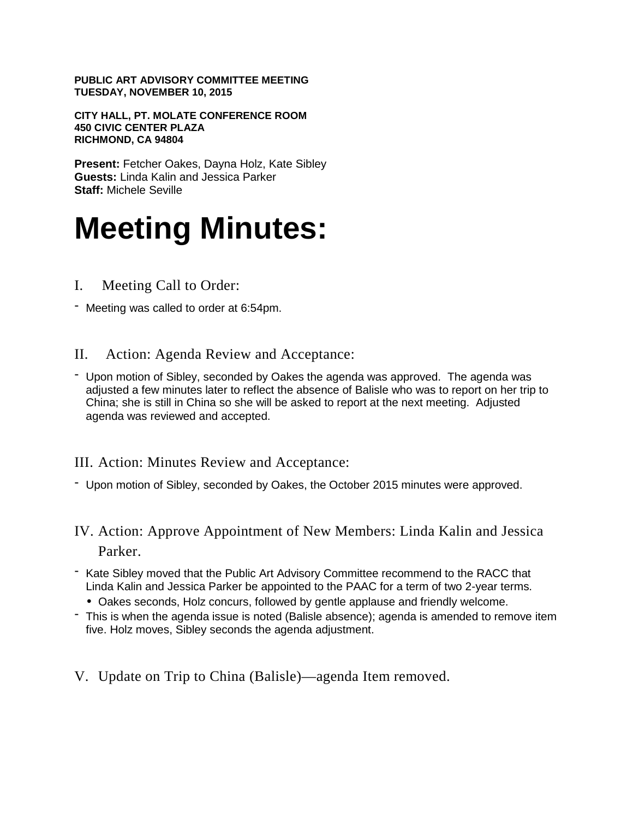**PUBLIC ART ADVISORY COMMITTEE MEETING TUESDAY, NOVEMBER 10, 2015**

**CITY HALL, PT. MOLATE CONFERENCE ROOM 450 CIVIC CENTER PLAZA RICHMOND, CA 94804**

**Present:** Fetcher Oakes, Dayna Holz, Kate Sibley **Guests:** Linda Kalin and Jessica Parker **Staff:** Michele Seville

# **Meeting Minutes:**

- I. Meeting Call to Order:
- Meeting was called to order at 6:54pm.
- II. Action: Agenda Review and Acceptance:
- Upon motion of Sibley, seconded by Oakes the agenda was approved. The agenda was adjusted a few minutes later to reflect the absence of Balisle who was to report on her trip to China; she is still in China so she will be asked to report at the next meeting. Adjusted agenda was reviewed and accepted.

III. Action: Minutes Review and Acceptance:

- Upon motion of Sibley, seconded by Oakes, the October 2015 minutes were approved.
- IV. Action: Approve Appointment of New Members: Linda Kalin and Jessica Parker.
- Kate Sibley moved that the Public Art Advisory Committee recommend to the RACC that Linda Kalin and Jessica Parker be appointed to the PAAC for a term of two 2-year terms.
	- Oakes seconds, Holz concurs, followed by gentle applause and friendly welcome.
- This is when the agenda issue is noted (Balisle absence); agenda is amended to remove item five. Holz moves, Sibley seconds the agenda adjustment.
- V. Update on Trip to China (Balisle)—agenda Item removed.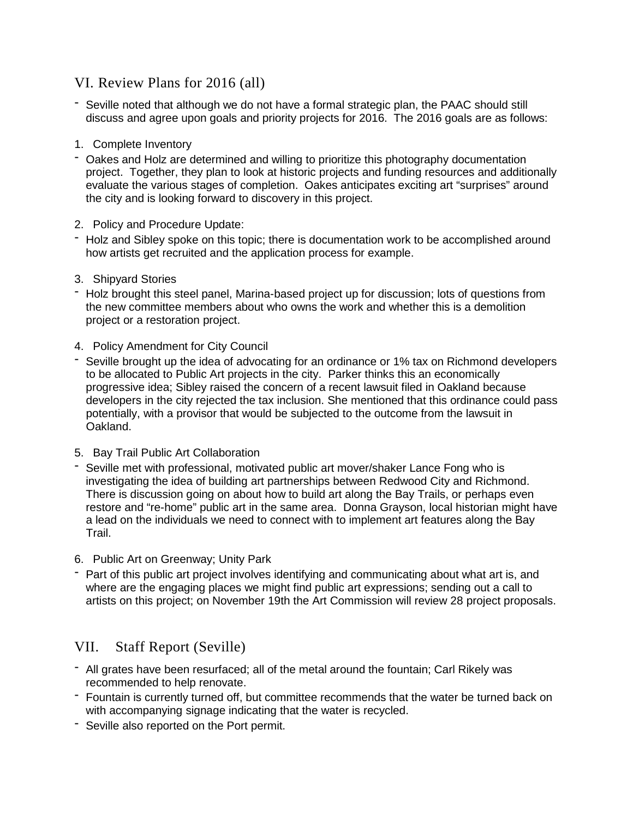### VI. Review Plans for 2016 (all)

- Seville noted that although we do not have a formal strategic plan, the PAAC should still discuss and agree upon goals and priority projects for 2016. The 2016 goals are as follows:
- 1. Complete Inventory
- Oakes and Holz are determined and willing to prioritize this photography documentation project. Together, they plan to look at historic projects and funding resources and additionally evaluate the various stages of completion. Oakes anticipates exciting art "surprises" around the city and is looking forward to discovery in this project.
- 2. Policy and Procedure Update:
- Holz and Sibley spoke on this topic; there is documentation work to be accomplished around how artists get recruited and the application process for example.
- 3. Shipyard Stories
- Holz brought this steel panel, Marina-based project up for discussion; lots of questions from the new committee members about who owns the work and whether this is a demolition project or a restoration project.
- 4. Policy Amendment for City Council
- Seville brought up the idea of advocating for an ordinance or 1% tax on Richmond developers to be allocated to Public Art projects in the city. Parker thinks this an economically progressive idea; Sibley raised the concern of a recent lawsuit filed in Oakland because developers in the city rejected the tax inclusion. She mentioned that this ordinance could pass potentially, with a provisor that would be subjected to the outcome from the lawsuit in Oakland.
- 5. Bay Trail Public Art Collaboration
- Seville met with professional, motivated public art mover/shaker Lance Fong who is investigating the idea of building art partnerships between Redwood City and Richmond. There is discussion going on about how to build art along the Bay Trails, or perhaps even restore and "re-home" public art in the same area. Donna Grayson, local historian might have a lead on the individuals we need to connect with to implement art features along the Bay Trail.
- 6. Public Art on Greenway; Unity Park
- Part of this public art project involves identifying and communicating about what art is, and where are the engaging places we might find public art expressions; sending out a call to artists on this project; on November 19th the Art Commission will review 28 project proposals.

## VII. Staff Report (Seville)

- All grates have been resurfaced; all of the metal around the fountain; Carl Rikely was recommended to help renovate.
- Fountain is currently turned off, but committee recommends that the water be turned back on with accompanying signage indicating that the water is recycled.
- Seville also reported on the Port permit.